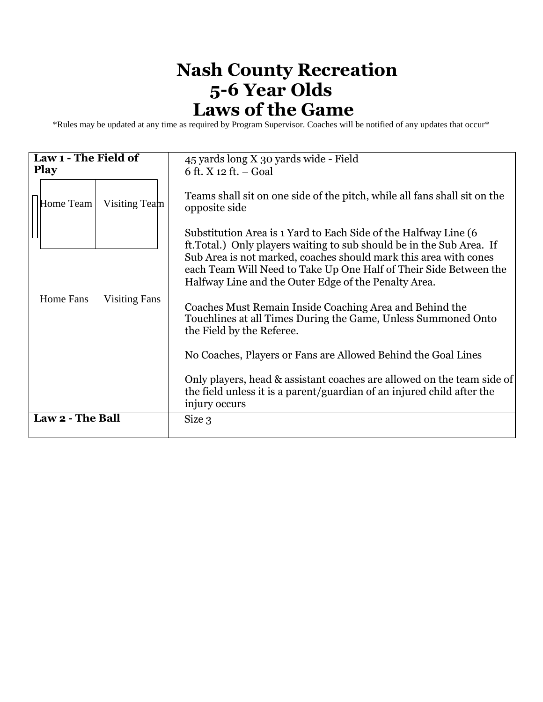## **Nash County Recreation 5-6 Year Olds Laws of the Game**

\*Rules may be updated at any time as required by Program Supervisor. Coaches will be notified of any updates that occur\*

| Law 1 - The Field of<br><b>Play</b> | 45 yards long X 30 yards wide - Field<br>6 ft. $X$ 12 ft. – Goal                                                                                                                                                                                                                                                                          |
|-------------------------------------|-------------------------------------------------------------------------------------------------------------------------------------------------------------------------------------------------------------------------------------------------------------------------------------------------------------------------------------------|
| Visiting Team<br>Home Team          | Teams shall sit on one side of the pitch, while all fans shall sit on the<br>opposite side                                                                                                                                                                                                                                                |
|                                     | Substitution Area is 1 Yard to Each Side of the Halfway Line (6<br>ft. Total.) Only players waiting to sub should be in the Sub Area. If<br>Sub Area is not marked, coaches should mark this area with cones<br>each Team Will Need to Take Up One Half of Their Side Between the<br>Halfway Line and the Outer Edge of the Penalty Area. |
| Home Fans<br><b>Visiting Fans</b>   | Coaches Must Remain Inside Coaching Area and Behind the<br>Touchlines at all Times During the Game, Unless Summoned Onto<br>the Field by the Referee.                                                                                                                                                                                     |
|                                     | No Coaches, Players or Fans are Allowed Behind the Goal Lines                                                                                                                                                                                                                                                                             |
|                                     | Only players, head & assistant coaches are allowed on the team side of<br>the field unless it is a parent/guardian of an injured child after the<br>injury occurs                                                                                                                                                                         |
| Law 2 - The Ball                    | Size 3                                                                                                                                                                                                                                                                                                                                    |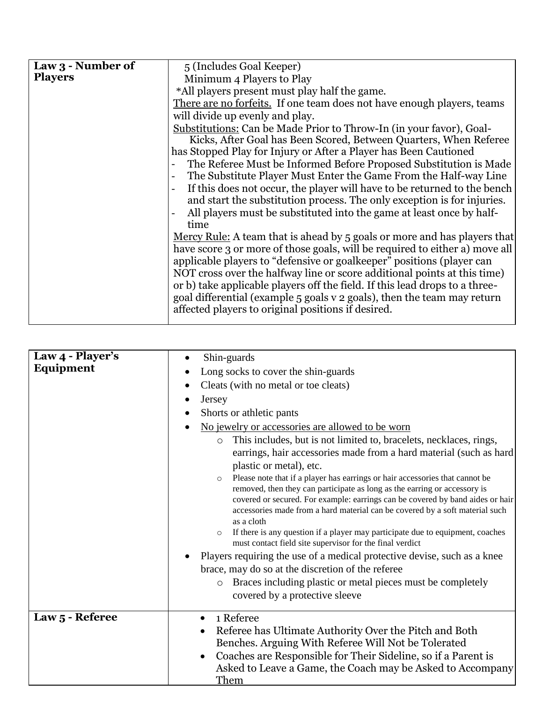| Law 3 - Number of | 5 (Includes Goal Keeper)                                                        |
|-------------------|---------------------------------------------------------------------------------|
| <b>Players</b>    | Minimum 4 Players to Play                                                       |
|                   | *All players present must play half the game.                                   |
|                   | There are no forfeits. If one team does not have enough players, teams          |
|                   | will divide up evenly and play.                                                 |
|                   | Substitutions: Can be Made Prior to Throw-In (in your favor), Goal-             |
|                   | Kicks, After Goal has Been Scored, Between Quarters, When Referee               |
|                   | has Stopped Play for Injury or After a Player has Been Cautioned                |
|                   | The Referee Must be Informed Before Proposed Substitution is Made               |
|                   | The Substitute Player Must Enter the Game From the Half-way Line                |
|                   | If this does not occur, the player will have to be returned to the bench        |
|                   | and start the substitution process. The only exception is for injuries.         |
|                   | All players must be substituted into the game at least once by half-            |
|                   | time                                                                            |
|                   | <u>Mercy Rule:</u> A team that is ahead by 5 goals or more and has players that |
|                   | have score 3 or more of those goals, will be required to either a) move all     |
|                   | applicable players to "defensive or goalkeeper" positions (player can           |
|                   | NOT cross over the halfway line or score additional points at this time)        |
|                   | or b) take applicable players off the field. If this lead drops to a three-     |
|                   | goal differential (example 5 goals v 2 goals), then the team may return         |
|                   | affected players to original positions if desired.                              |
|                   |                                                                                 |

| Law 4 - Player's | Shin-guards                                                                                                                                                                                                                                                                                                                                                                                                                                       |
|------------------|---------------------------------------------------------------------------------------------------------------------------------------------------------------------------------------------------------------------------------------------------------------------------------------------------------------------------------------------------------------------------------------------------------------------------------------------------|
| Equipment        | Long socks to cover the shin-guards                                                                                                                                                                                                                                                                                                                                                                                                               |
|                  | Cleats (with no metal or toe cleats)                                                                                                                                                                                                                                                                                                                                                                                                              |
|                  | Jersey                                                                                                                                                                                                                                                                                                                                                                                                                                            |
|                  | Shorts or athletic pants                                                                                                                                                                                                                                                                                                                                                                                                                          |
|                  | No jewelry or accessories are allowed to be worn                                                                                                                                                                                                                                                                                                                                                                                                  |
|                  | This includes, but is not limited to, bracelets, necklaces, rings,<br>$\circ$                                                                                                                                                                                                                                                                                                                                                                     |
|                  | earrings, hair accessories made from a hard material (such as hard                                                                                                                                                                                                                                                                                                                                                                                |
|                  | plastic or metal), etc.                                                                                                                                                                                                                                                                                                                                                                                                                           |
|                  | Please note that if a player has earrings or hair accessories that cannot be<br>$\circ$<br>removed, then they can participate as long as the earring or accessory is<br>covered or secured. For example: earrings can be covered by band aides or hair<br>accessories made from a hard material can be covered by a soft material such<br>as a cloth<br>If there is any question if a player may participate due to equipment, coaches<br>$\circ$ |
|                  | must contact field site supervisor for the final verdict                                                                                                                                                                                                                                                                                                                                                                                          |
|                  | Players requiring the use of a medical protective devise, such as a knee                                                                                                                                                                                                                                                                                                                                                                          |
|                  | brace, may do so at the discretion of the referee                                                                                                                                                                                                                                                                                                                                                                                                 |
|                  | Braces including plastic or metal pieces must be completely<br>$\circ$                                                                                                                                                                                                                                                                                                                                                                            |
|                  | covered by a protective sleeve                                                                                                                                                                                                                                                                                                                                                                                                                    |
| Law 5 - Referee  | 1 Referee<br>$\bullet$                                                                                                                                                                                                                                                                                                                                                                                                                            |
|                  | Referee has Ultimate Authority Over the Pitch and Both<br>Benches. Arguing With Referee Will Not be Tolerated<br>Coaches are Responsible for Their Sideline, so if a Parent is<br>$\bullet$<br>Asked to Leave a Game, the Coach may be Asked to Accompany<br>Them                                                                                                                                                                                 |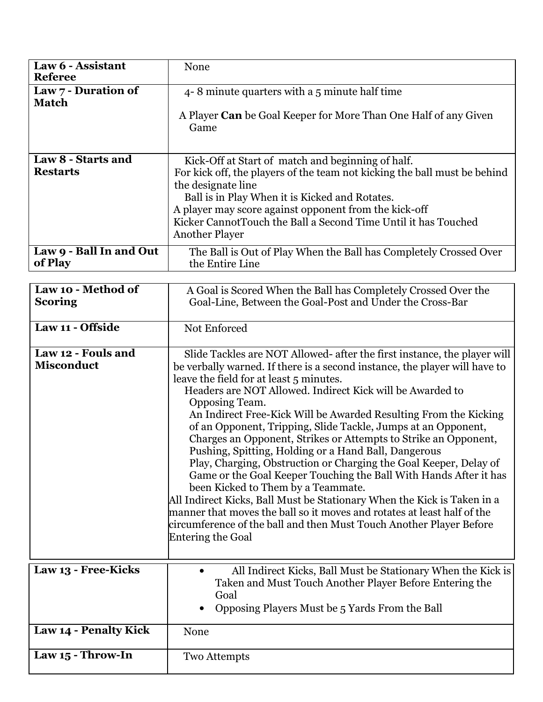| Law 6 - Assistant<br><b>Referee</b>     | None                                                                                                                                                                                                                                                                                                                                                                                                                                                                                                                                                                                                                                                                                                                                                                                                                                                                                                                                                                               |
|-----------------------------------------|------------------------------------------------------------------------------------------------------------------------------------------------------------------------------------------------------------------------------------------------------------------------------------------------------------------------------------------------------------------------------------------------------------------------------------------------------------------------------------------------------------------------------------------------------------------------------------------------------------------------------------------------------------------------------------------------------------------------------------------------------------------------------------------------------------------------------------------------------------------------------------------------------------------------------------------------------------------------------------|
| Law 7 - Duration of                     | 4-8 minute quarters with a 5 minute half time                                                                                                                                                                                                                                                                                                                                                                                                                                                                                                                                                                                                                                                                                                                                                                                                                                                                                                                                      |
| <b>Match</b>                            | A Player <b>Can</b> be Goal Keeper for More Than One Half of any Given<br>Game                                                                                                                                                                                                                                                                                                                                                                                                                                                                                                                                                                                                                                                                                                                                                                                                                                                                                                     |
| Law 8 - Starts and<br><b>Restarts</b>   | Kick-Off at Start of match and beginning of half.<br>For kick off, the players of the team not kicking the ball must be behind<br>the designate line<br>Ball is in Play When it is Kicked and Rotates.<br>A player may score against opponent from the kick-off<br>Kicker CannotTouch the Ball a Second Time Until it has Touched<br><b>Another Player</b>                                                                                                                                                                                                                                                                                                                                                                                                                                                                                                                                                                                                                         |
| Law 9 - Ball In and Out<br>of Play      | The Ball is Out of Play When the Ball has Completely Crossed Over<br>the Entire Line                                                                                                                                                                                                                                                                                                                                                                                                                                                                                                                                                                                                                                                                                                                                                                                                                                                                                               |
| Law 10 - Method of<br><b>Scoring</b>    | A Goal is Scored When the Ball has Completely Crossed Over the<br>Goal-Line, Between the Goal-Post and Under the Cross-Bar                                                                                                                                                                                                                                                                                                                                                                                                                                                                                                                                                                                                                                                                                                                                                                                                                                                         |
| Law 11 - Offside                        | Not Enforced                                                                                                                                                                                                                                                                                                                                                                                                                                                                                                                                                                                                                                                                                                                                                                                                                                                                                                                                                                       |
| Law 12 - Fouls and<br><b>Misconduct</b> | Slide Tackles are NOT Allowed- after the first instance, the player will<br>be verbally warned. If there is a second instance, the player will have to<br>leave the field for at least 5 minutes.<br>Headers are NOT Allowed. Indirect Kick will be Awarded to<br>Opposing Team.<br>An Indirect Free-Kick Will be Awarded Resulting From the Kicking<br>of an Opponent, Tripping, Slide Tackle, Jumps at an Opponent,<br>Charges an Opponent, Strikes or Attempts to Strike an Opponent,<br>Pushing, Spitting, Holding or a Hand Ball, Dangerous<br>Play, Charging, Obstruction or Charging the Goal Keeper, Delay of<br>Game or the Goal Keeper Touching the Ball With Hands After it has<br>been Kicked to Them by a Teammate.<br>All Indirect Kicks, Ball Must be Stationary When the Kick is Taken in a<br>manner that moves the ball so it moves and rotates at least half of the<br>circumference of the ball and then Must Touch Another Player Before<br>Entering the Goal |
| Law 13 - Free-Kicks                     | All Indirect Kicks, Ball Must be Stationary When the Kick is<br>Taken and Must Touch Another Player Before Entering the<br>Goal                                                                                                                                                                                                                                                                                                                                                                                                                                                                                                                                                                                                                                                                                                                                                                                                                                                    |
|                                         | Opposing Players Must be 5 Yards From the Ball                                                                                                                                                                                                                                                                                                                                                                                                                                                                                                                                                                                                                                                                                                                                                                                                                                                                                                                                     |
| Law 14 - Penalty Kick                   | None                                                                                                                                                                                                                                                                                                                                                                                                                                                                                                                                                                                                                                                                                                                                                                                                                                                                                                                                                                               |
| Law 15 - Throw-In                       | <b>Two Attempts</b>                                                                                                                                                                                                                                                                                                                                                                                                                                                                                                                                                                                                                                                                                                                                                                                                                                                                                                                                                                |